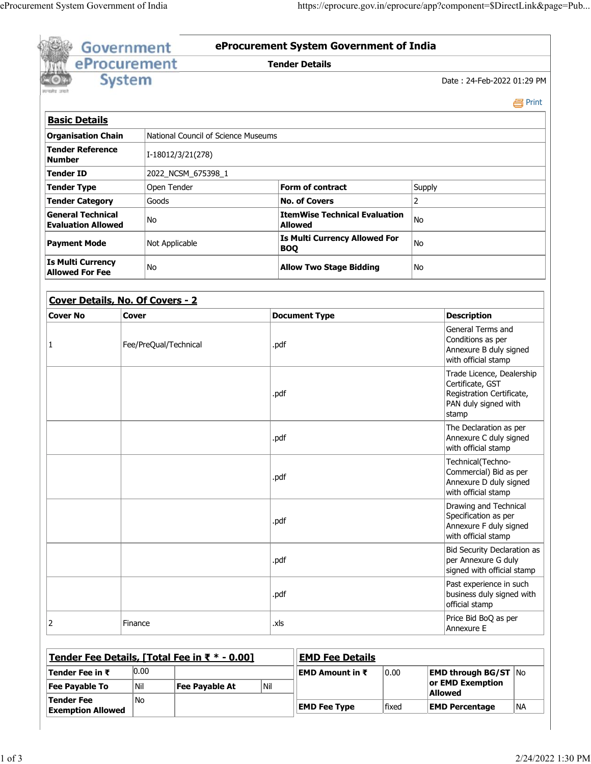|                                                             | <b>Government</b>     |             |                                               |      |                                                        | eProcurement System Government of India                                |       |                                                                                                             |                                                                                         |           |
|-------------------------------------------------------------|-----------------------|-------------|-----------------------------------------------|------|--------------------------------------------------------|------------------------------------------------------------------------|-------|-------------------------------------------------------------------------------------------------------------|-----------------------------------------------------------------------------------------|-----------|
|                                                             | eProcurement          |             |                                               |      |                                                        | <b>Tender Details</b>                                                  |       |                                                                                                             |                                                                                         |           |
|                                                             | <b>System</b>         |             |                                               |      |                                                        |                                                                        |       |                                                                                                             | Date: 24-Feb-2022 01:29 PM                                                              |           |
|                                                             |                       |             |                                               |      |                                                        |                                                                        |       |                                                                                                             |                                                                                         | e Print   |
| <b>Basic Details</b>                                        |                       |             |                                               |      |                                                        |                                                                        |       |                                                                                                             |                                                                                         |           |
| <b>Organisation Chain</b>                                   |                       |             | National Council of Science Museums           |      |                                                        |                                                                        |       |                                                                                                             |                                                                                         |           |
| <b>Tender Reference</b><br><b>Number</b>                    |                       |             | I-18012/3/21(278)                             |      |                                                        |                                                                        |       |                                                                                                             |                                                                                         |           |
| <b>Tender ID</b>                                            |                       |             | 2022_NCSM_675398_1                            |      |                                                        |                                                                        |       |                                                                                                             |                                                                                         |           |
| <b>Tender Type</b>                                          |                       | Open Tender |                                               |      |                                                        | <b>Form of contract</b>                                                |       |                                                                                                             |                                                                                         |           |
| <b>Tender Category</b>                                      |                       | Goods       |                                               |      |                                                        | <b>No. of Covers</b>                                                   |       | $\overline{2}$                                                                                              |                                                                                         |           |
| <b>General Technical</b><br>No<br><b>Evaluation Allowed</b> |                       |             |                                               |      | <b>ItemWise Technical Evaluation</b><br><b>Allowed</b> |                                                                        |       |                                                                                                             |                                                                                         |           |
| <b>Payment Mode</b><br>Not Applicable                       |                       |             |                                               |      | <b>Is Multi Currency Allowed For</b><br><b>BOQ</b>     |                                                                        |       | No                                                                                                          |                                                                                         |           |
| <b>Is Multi Currency</b><br>No<br><b>Allowed For Fee</b>    |                       |             |                                               |      | <b>Allow Two Stage Bidding</b><br>No                   |                                                                        |       |                                                                                                             |                                                                                         |           |
|                                                             |                       |             |                                               |      |                                                        |                                                                        |       |                                                                                                             |                                                                                         |           |
| Cover Details, No. Of Covers - 2                            |                       |             |                                               |      |                                                        |                                                                        |       |                                                                                                             |                                                                                         |           |
| <b>Cover No</b>                                             | <b>Cover</b>          |             |                                               |      |                                                        | <b>Document Type</b>                                                   |       |                                                                                                             | <b>Description</b>                                                                      |           |
| 1                                                           | Fee/PreQual/Technical |             |                                               | .pdf |                                                        |                                                                        |       | General Terms and<br>Conditions as per<br>Annexure B duly signed<br>with official stamp                     |                                                                                         |           |
|                                                             |                       |             |                                               |      | .pdf                                                   |                                                                        |       | Trade Licence, Dealership<br>Certificate, GST<br>Registration Certificate,<br>PAN duly signed with<br>stamp |                                                                                         |           |
|                                                             |                       |             |                                               |      |                                                        |                                                                        |       | The Declaration as per<br>Annexure C duly signed<br>with official stamp                                     |                                                                                         |           |
|                                                             |                       |             |                                               |      | .pdf                                                   |                                                                        |       | Technical(Techno-<br>Commercial) Bid as per<br>Annexure D duly signed<br>with official stamp                |                                                                                         |           |
|                                                             |                       |             |                                               |      |                                                        |                                                                        |       | Drawing and Technical<br>Specification as per<br>Annexure F duly signed<br>with official stamp              |                                                                                         |           |
|                                                             |                       |             |                                               |      | .pdf                                                   |                                                                        |       |                                                                                                             | <b>Bid Security Declaration as</b><br>per Annexure G duly<br>signed with official stamp |           |
|                                                             |                       |             | .pdf                                          |      |                                                        | Past experience in such<br>business duly signed with<br>official stamp |       |                                                                                                             |                                                                                         |           |
| 2                                                           | Finance               |             |                                               | .xls |                                                        |                                                                        |       | Price Bid BoQ as per<br>Annexure E                                                                          |                                                                                         |           |
|                                                             |                       |             | Tender Fee Details, [Total Fee in ₹ * - 0.00] |      |                                                        | <b>EMD Fee Details</b>                                                 |       |                                                                                                             |                                                                                         |           |
| Tender Fee in $\bar{\tau}$                                  | 0.00                  |             |                                               |      |                                                        | <b>EMD Amount in ₹</b>                                                 | 0.00  |                                                                                                             | <b>EMD through BG/ST</b> $\vert$ No                                                     |           |
| <b>Fee Payable To</b>                                       | Nil                   |             | <b>Fee Payable At</b>                         |      | Nil                                                    |                                                                        |       |                                                                                                             | or EMD Exemption                                                                        |           |
| <b>Tender Fee</b>                                           | No                    |             |                                               |      |                                                        |                                                                        |       | <b>Allowed</b>                                                                                              |                                                                                         |           |
|                                                             |                       |             |                                               |      |                                                        | <b>EMD Fee Type</b>                                                    | fixed |                                                                                                             | <b>EMD Percentage</b>                                                                   | <b>NA</b> |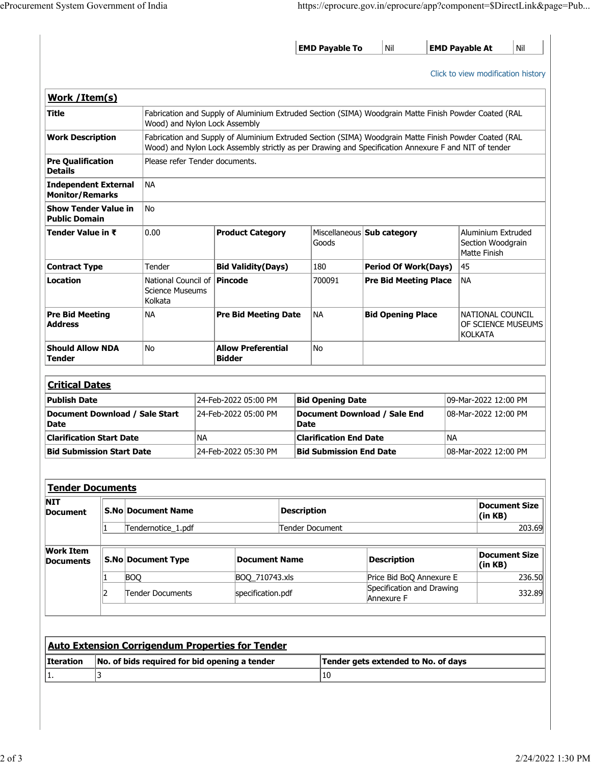|                                                         |                                                                    |                                |                                               |                             |                | <b>EMD Payable To</b>     |                                                                                                       |                                                                                                                                                                                                               | Nil                                 |                                                          |                                                         | Nil<br><b>EMD Payable At</b>       |  |
|---------------------------------------------------------|--------------------------------------------------------------------|--------------------------------|-----------------------------------------------|-----------------------------|----------------|---------------------------|-------------------------------------------------------------------------------------------------------|---------------------------------------------------------------------------------------------------------------------------------------------------------------------------------------------------------------|-------------------------------------|----------------------------------------------------------|---------------------------------------------------------|------------------------------------|--|
|                                                         |                                                                    |                                |                                               |                             |                |                           |                                                                                                       |                                                                                                                                                                                                               |                                     |                                                          |                                                         | Click to view modification history |  |
| Work / Item(s)                                          |                                                                    |                                |                                               |                             |                |                           |                                                                                                       |                                                                                                                                                                                                               |                                     |                                                          |                                                         |                                    |  |
| Title<br>Wood) and Nylon Lock Assembly                  |                                                                    |                                |                                               |                             |                |                           | Fabrication and Supply of Aluminium Extruded Section (SIMA) Woodgrain Matte Finish Powder Coated (RAL |                                                                                                                                                                                                               |                                     |                                                          |                                                         |                                    |  |
| <b>Work Description</b>                                 |                                                                    |                                |                                               |                             |                |                           |                                                                                                       | Fabrication and Supply of Aluminium Extruded Section (SIMA) Woodgrain Matte Finish Powder Coated (RAL<br>Wood) and Nylon Lock Assembly strictly as per Drawing and Specification Annexure F and NIT of tender |                                     |                                                          |                                                         |                                    |  |
| <b>Pre Qualification</b><br><b>Details</b>              |                                                                    | Please refer Tender documents. |                                               |                             |                |                           |                                                                                                       |                                                                                                                                                                                                               |                                     |                                                          |                                                         |                                    |  |
| <b>Independent External</b><br><b>Monitor/Remarks</b>   |                                                                    |                                | <b>NA</b>                                     |                             |                |                           |                                                                                                       |                                                                                                                                                                                                               |                                     |                                                          |                                                         |                                    |  |
| <b>Show Tender Value in</b><br><b>Public Domain</b>     |                                                                    |                                | No                                            |                             |                |                           |                                                                                                       |                                                                                                                                                                                                               |                                     |                                                          |                                                         |                                    |  |
| Tender Value in ₹                                       |                                                                    |                                | 0.00                                          |                             |                | <b>Product Category</b>   |                                                                                                       | Goods                                                                                                                                                                                                         | Miscellaneous Sub category          |                                                          | Aluminium Extruded<br>Section Woodgrain<br>Matte Finish |                                    |  |
|                                                         | <b>Contract Type</b>                                               |                                | Tender                                        |                             |                | <b>Bid Validity(Days)</b> |                                                                                                       | 180                                                                                                                                                                                                           | <b>Period Of Work(Days)</b>         |                                                          | 45                                                      |                                    |  |
| Location                                                | National Council of   Pincode<br><b>Science Museums</b><br>Kolkata |                                |                                               |                             |                |                           | 700091                                                                                                | <b>Pre Bid Meeting Place</b>                                                                                                                                                                                  |                                     | <b>NA</b>                                                |                                                         |                                    |  |
| <b>Pre Bid Meeting</b><br><b>Address</b>                | <b>NA</b>                                                          |                                |                                               | <b>Pre Bid Meeting Date</b> |                |                           | <b>NA</b>                                                                                             | <b>Bid Opening Place</b>                                                                                                                                                                                      |                                     | NATIONAL COUNCIL<br>OF SCIENCE MUSEUMS<br><b>KOLKATA</b> |                                                         |                                    |  |
| <b>Should Allow NDA</b><br><b>Tender</b>                |                                                                    | <b>No</b><br><b>Bidder</b>     |                                               | <b>Allow Preferential</b>   |                | No                        |                                                                                                       |                                                                                                                                                                                                               |                                     |                                                          |                                                         |                                    |  |
| <b>Critical Dates</b>                                   |                                                                    |                                |                                               |                             |                |                           |                                                                                                       |                                                                                                                                                                                                               |                                     |                                                          |                                                         |                                    |  |
| <b>Publish Date</b>                                     |                                                                    |                                | 24-Feb-2022 05:00 PM                          |                             |                |                           | <b>Bid Opening Date</b>                                                                               |                                                                                                                                                                                                               |                                     |                                                          |                                                         | 09-Mar-2022 12:00 PM               |  |
| Document Download / Sale Start<br><b>Date</b>           |                                                                    |                                |                                               |                             |                | 24-Feb-2022 05:00 PM      |                                                                                                       | Document Download / Sale End<br>Date                                                                                                                                                                          |                                     |                                                          | 08-Mar-2022 12:00 PM                                    |                                    |  |
| <b>Clarification Start Date</b>                         |                                                                    |                                | <b>NA</b>                                     |                             |                |                           |                                                                                                       |                                                                                                                                                                                                               | <b>Clarification End Date</b>       |                                                          | ΝA                                                      |                                    |  |
| <b>Bid Submission Start Date</b>                        |                                                                    |                                | 24-Feb-2022 05:30 PM                          |                             |                |                           | <b>Bid Submission End Date</b>                                                                        |                                                                                                                                                                                                               |                                     | 08-Mar-2022 12:00 PM                                     |                                                         |                                    |  |
|                                                         |                                                                    |                                |                                               |                             |                |                           |                                                                                                       |                                                                                                                                                                                                               |                                     |                                                          |                                                         |                                    |  |
| <b>Tender Documents</b>                                 |                                                                    |                                |                                               |                             |                |                           |                                                                                                       |                                                                                                                                                                                                               |                                     |                                                          |                                                         |                                    |  |
| <b>NIT</b><br><b>Document</b>                           |                                                                    |                                | <b>S.No Document Name</b>                     |                             |                |                           | <b>Description</b>                                                                                    |                                                                                                                                                                                                               |                                     |                                                          | (in KB)                                                 | <b>Document Size</b>               |  |
|                                                         | $\mathbf{1}$                                                       |                                | Tendernotice_1.pdf                            |                             |                |                           |                                                                                                       | Tender Document                                                                                                                                                                                               |                                     |                                                          |                                                         | 203.69                             |  |
|                                                         |                                                                    |                                | S.No Document Type                            |                             |                | <b>Document Name</b>      |                                                                                                       |                                                                                                                                                                                                               | <b>Description</b>                  |                                                          | <b>Document Size</b><br>(in KB)                         |                                    |  |
|                                                         |                                                                    |                                |                                               |                             | BOQ_710743.xls |                           |                                                                                                       |                                                                                                                                                                                                               | Price Bid BoQ Annexure E            |                                                          | 236.50                                                  |                                    |  |
|                                                         | 1                                                                  | <b>BOQ</b>                     |                                               |                             |                |                           |                                                                                                       |                                                                                                                                                                                                               |                                     | Specification and Drawing<br>Annexure F                  |                                                         |                                    |  |
| <b>Work Item</b><br><b>Documents</b>                    | 2                                                                  |                                | Tender Documents                              |                             |                | specification.pdf         |                                                                                                       |                                                                                                                                                                                                               |                                     |                                                          |                                                         |                                    |  |
|                                                         |                                                                    |                                |                                               |                             |                |                           |                                                                                                       |                                                                                                                                                                                                               |                                     |                                                          |                                                         |                                    |  |
| <b>Auto Extension Corrigendum Properties for Tender</b> |                                                                    |                                |                                               |                             |                |                           |                                                                                                       |                                                                                                                                                                                                               |                                     |                                                          |                                                         | 332.89                             |  |
| <b>Iteration</b>                                        | 3                                                                  |                                | No. of bids required for bid opening a tender |                             |                |                           |                                                                                                       |                                                                                                                                                                                                               | Tender gets extended to No. of days |                                                          |                                                         |                                    |  |